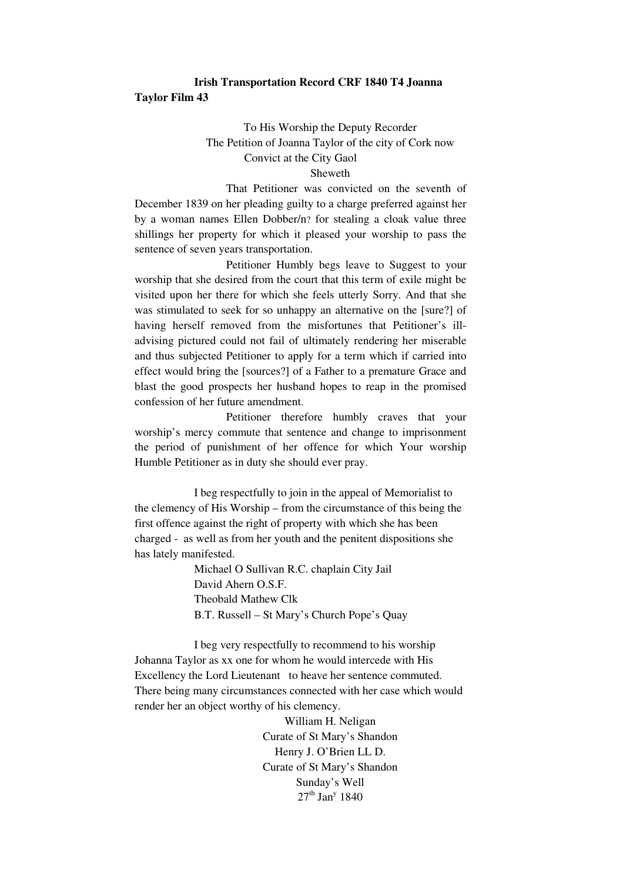## **Irish Transportation Record CRF 1840 T4 Joanna Taylor Film 43**

## To His Worship the Deputy Recorder The Petition of Joanna Taylor of the city of Cork now Convict at the City Gaol

## Sheweth

 That Petitioner was convicted on the seventh of December 1839 on her pleading guilty to a charge preferred against her by a woman names Ellen Dobber/n? for stealing a cloak value three shillings her property for which it pleased your worship to pass the sentence of seven years transportation.

 Petitioner Humbly begs leave to Suggest to your worship that she desired from the court that this term of exile might be visited upon her there for which she feels utterly Sorry. And that she was stimulated to seek for so unhappy an alternative on the [sure?] of having herself removed from the misfortunes that Petitioner's illadvising pictured could not fail of ultimately rendering her miserable and thus subjected Petitioner to apply for a term which if carried into effect would bring the [sources?] of a Father to a premature Grace and blast the good prospects her husband hopes to reap in the promised confession of her future amendment.

 Petitioner therefore humbly craves that your worship's mercy commute that sentence and change to imprisonment the period of punishment of her offence for which Your worship Humble Petitioner as in duty she should ever pray.

I beg respectfully to join in the appeal of Memorialist to the clemency of His Worship – from the circumstance of this being the first offence against the right of property with which she has been charged - as well as from her youth and the penitent dispositions she has lately manifested.

> Michael O Sullivan R.C. chaplain City Jail David Ahern O.S.F. Theobald Mathew Clk B.T. Russell – St Mary's Church Pope's Quay

I beg very respectfully to recommend to his worship Johanna Taylor as xx one for whom he would intercede with His Excellency the Lord Lieutenant to heave her sentence commuted. There being many circumstances connected with her case which would render her an object worthy of his clemency.

> William H. Neligan Curate of St Mary's Shandon Henry J. O'Brien LL D. Curate of St Mary's Shandon Sunday's Well  $27<sup>th</sup>$  Jan<sup>y</sup> 1840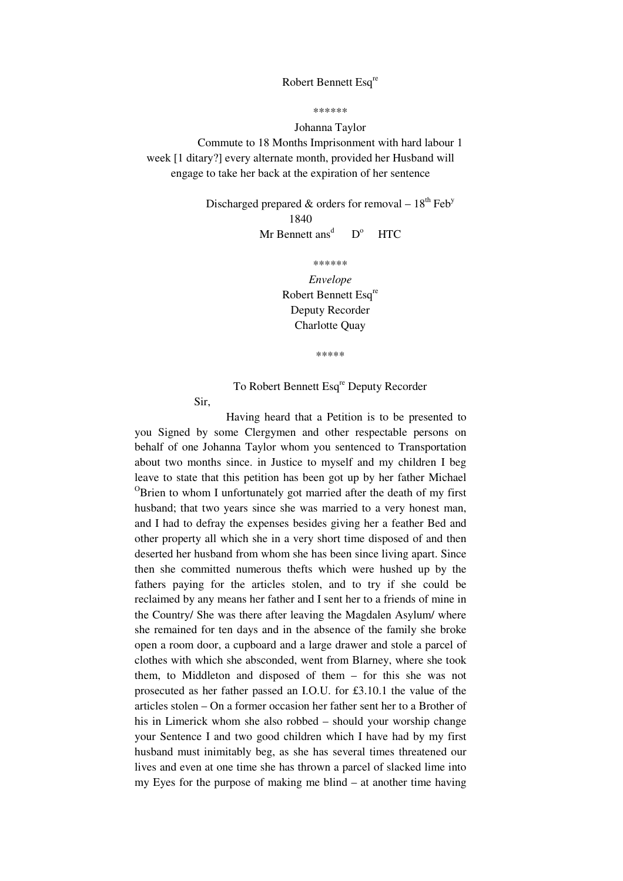## Robert Bennett Esq<sup>re</sup>

\*\*\*\*\*\*

Johanna Taylor

Commute to 18 Months Imprisonment with hard labour 1 week [1 ditary?] every alternate month, provided her Husband will engage to take her back at the expiration of her sentence

> Discharged prepared & orders for removal –  $18<sup>th</sup>$  Feb<sup>y</sup> 1840 Mr Bennett ans<sup>d</sup>  $D^{\circ}$ **HTC**

> > \*\*\*\*\*\*

*Envelope*  Robert Bennett Esq<sup>re</sup> Deputy Recorder Charlotte Quay

\*\*\*\*\*

To Robert Bennett Esq<sup>re</sup> Deputy Recorder

Sir,

 Having heard that a Petition is to be presented to you Signed by some Clergymen and other respectable persons on behalf of one Johanna Taylor whom you sentenced to Transportation about two months since. in Justice to myself and my children I beg leave to state that this petition has been got up by her father Michael <sup>O</sup>Brien to whom I unfortunately got married after the death of my first husband; that two years since she was married to a very honest man, and I had to defray the expenses besides giving her a feather Bed and other property all which she in a very short time disposed of and then deserted her husband from whom she has been since living apart. Since then she committed numerous thefts which were hushed up by the fathers paying for the articles stolen, and to try if she could be reclaimed by any means her father and I sent her to a friends of mine in the Country/ She was there after leaving the Magdalen Asylum/ where she remained for ten days and in the absence of the family she broke open a room door, a cupboard and a large drawer and stole a parcel of clothes with which she absconded, went from Blarney, where she took them, to Middleton and disposed of them – for this she was not prosecuted as her father passed an I.O.U. for £3.10.1 the value of the articles stolen – On a former occasion her father sent her to a Brother of his in Limerick whom she also robbed – should your worship change your Sentence I and two good children which I have had by my first husband must inimitably beg, as she has several times threatened our lives and even at one time she has thrown a parcel of slacked lime into my Eyes for the purpose of making me blind – at another time having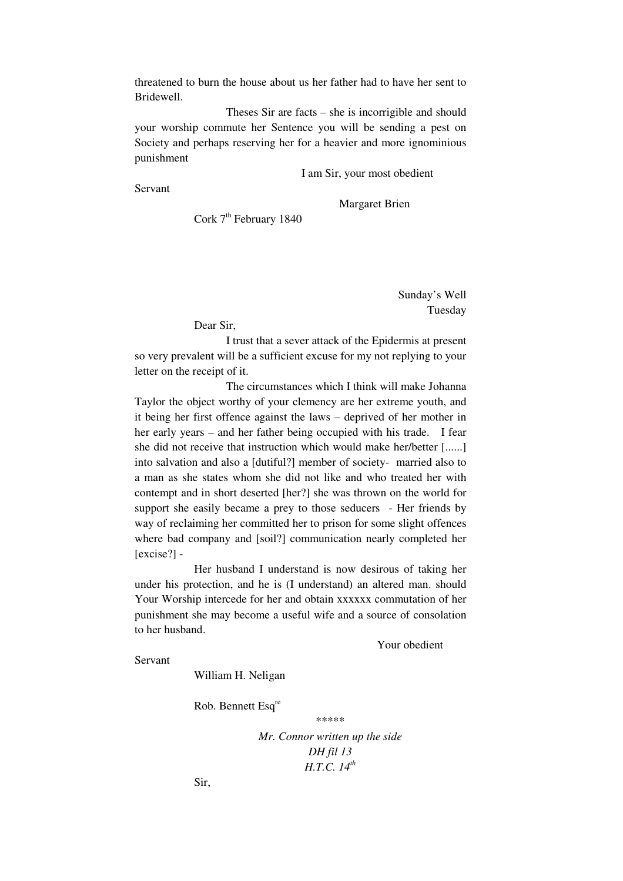threatened to burn the house about us her father had to have her sent to Bridewell.

 Theses Sir are facts – she is incorrigible and should your worship commute her Sentence you will be sending a pest on Society and perhaps reserving her for a heavier and more ignominious punishment

I am Sir, your most obedient

Servant

Margaret Brien

Cork  $7<sup>th</sup>$  February 1840

Sunday's Well

Tuesday

Dear Sir,

 I trust that a sever attack of the Epidermis at present so very prevalent will be a sufficient excuse for my not replying to your letter on the receipt of it.

 The circumstances which I think will make Johanna Taylor the object worthy of your clemency are her extreme youth, and it being her first offence against the laws – deprived of her mother in her early years – and her father being occupied with his trade. I fear she did not receive that instruction which would make her/better [......] into salvation and also a [dutiful?] member of society- married also to a man as she states whom she did not like and who treated her with contempt and in short deserted [her?] she was thrown on the world for support she easily became a prey to those seducers - Her friends by way of reclaiming her committed her to prison for some slight offences where bad company and [soil?] communication nearly completed her [excise?] -

Her husband I understand is now desirous of taking her under his protection, and he is (I understand) an altered man. should Your Worship intercede for her and obtain xxxxxx commutation of her punishment she may become a useful wife and a source of consolation to her husband.

Your obedient

Servant

William H. Neligan

Rob. Bennett Esq<sup>re</sup>

\*\*\*\*\*

*Mr. Connor written up the side DH fil 13 H.T.C. 14th*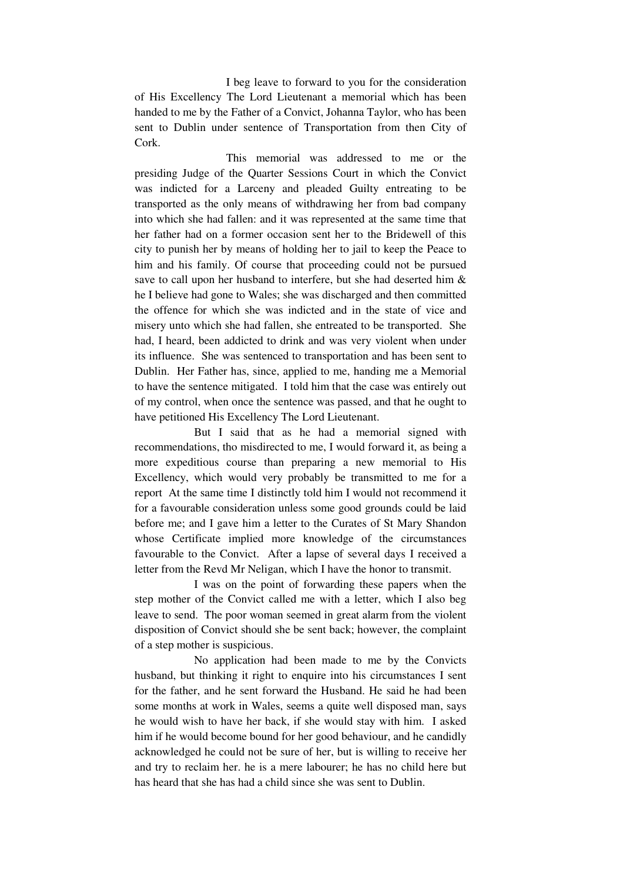I beg leave to forward to you for the consideration of His Excellency The Lord Lieutenant a memorial which has been handed to me by the Father of a Convict, Johanna Taylor, who has been sent to Dublin under sentence of Transportation from then City of Cork.

 This memorial was addressed to me or the presiding Judge of the Quarter Sessions Court in which the Convict was indicted for a Larceny and pleaded Guilty entreating to be transported as the only means of withdrawing her from bad company into which she had fallen: and it was represented at the same time that her father had on a former occasion sent her to the Bridewell of this city to punish her by means of holding her to jail to keep the Peace to him and his family. Of course that proceeding could not be pursued save to call upon her husband to interfere, but she had deserted him & he I believe had gone to Wales; she was discharged and then committed the offence for which she was indicted and in the state of vice and misery unto which she had fallen, she entreated to be transported. She had, I heard, been addicted to drink and was very violent when under its influence. She was sentenced to transportation and has been sent to Dublin. Her Father has, since, applied to me, handing me a Memorial to have the sentence mitigated. I told him that the case was entirely out of my control, when once the sentence was passed, and that he ought to have petitioned His Excellency The Lord Lieutenant.

But I said that as he had a memorial signed with recommendations, tho misdirected to me, I would forward it, as being a more expeditious course than preparing a new memorial to His Excellency, which would very probably be transmitted to me for a report At the same time I distinctly told him I would not recommend it for a favourable consideration unless some good grounds could be laid before me; and I gave him a letter to the Curates of St Mary Shandon whose Certificate implied more knowledge of the circumstances favourable to the Convict. After a lapse of several days I received a letter from the Revd Mr Neligan, which I have the honor to transmit.

I was on the point of forwarding these papers when the step mother of the Convict called me with a letter, which I also beg leave to send. The poor woman seemed in great alarm from the violent disposition of Convict should she be sent back; however, the complaint of a step mother is suspicious.

No application had been made to me by the Convicts husband, but thinking it right to enquire into his circumstances I sent for the father, and he sent forward the Husband. He said he had been some months at work in Wales, seems a quite well disposed man, says he would wish to have her back, if she would stay with him. I asked him if he would become bound for her good behaviour, and he candidly acknowledged he could not be sure of her, but is willing to receive her and try to reclaim her. he is a mere labourer; he has no child here but has heard that she has had a child since she was sent to Dublin.